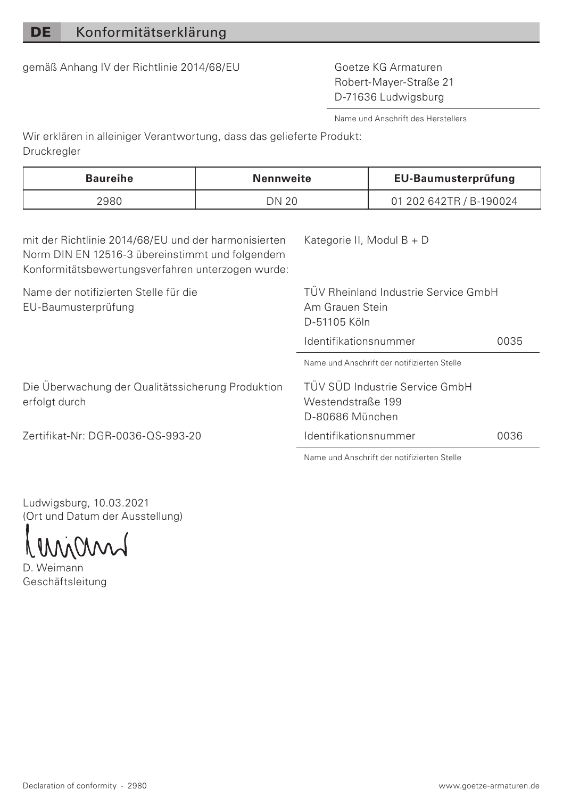gemäß Anhang IV der Richtlinie 2014/68/EU Goetze KG Armaturen

Robert-Mayer-Straße 21 D-71636 Ludwigsburg

Name und Anschrift des Herstellers

Wir erklären in alleiniger Verantwortung, dass das gelieferte Produkt: Druckregler

| 01 202 642TR / B-190024<br>DN 20 |
|----------------------------------|

mit der Richtlinie 2014/68/EU und der harmonisierten Norm DIN EN 12516-3 übereinstimmt und folgendem Konformitätsbewertungsverfahren unterzogen wurde:

Die Überwachung der Qualitätssicherung Produktion

Name der notifizierten Stelle für die EU-Baumusterprüfung

Kategorie II, Modul B + D

TÜV Rheinland Industrie Service GmbH Am Grauen Stein D-51105 Köln

Identifikationsnummer 0035

Name und Anschrift der notifizierten Stelle

TÜV SÜD Industrie Service GmbH Westendstraße 199 D-80686 München

Identifikationsnummer 0036

Zertifikat-Nr: DGR-0036-QS-993-20

Name und Anschrift der notifizierten Stelle

Ludwigsburg, 10.03.2021 (Ort und Datum der Ausstellung)

D. Weimann Geschäftsleitung

erfolgt durch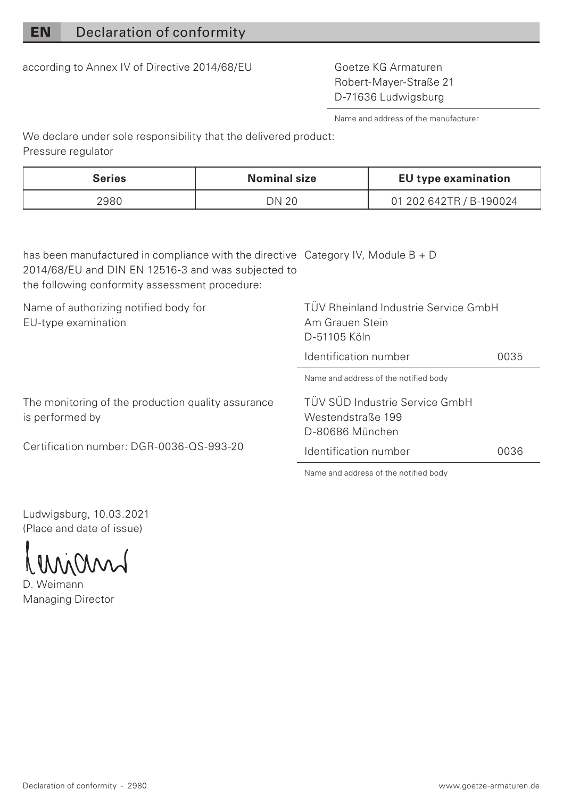## EN Declaration of conformity

according to Annex IV of Directive 2014/68/EU Goetze KG Armaturen

Robert-Mayer-Straße 21 D-71636 Ludwigsburg

Name and address of the manufacturer

We declare under sole responsibility that the delivered product: Pressure regulator

| Series | Nominal size | EU type examination     |
|--------|--------------|-------------------------|
| 2980   | DN 20        | 01 202 642TR / B-190024 |

has been manufactured in compliance with the directive Category IV, Module B + D 2014/68/EU and DIN EN 12516-3 and was subjected to the following conformity assessment procedure: Name of authorizing notified body for EU-type examination TÜV Rheinland Industrie Service GmbH Am Grauen Stein

The monitoring of the production quality assurance is performed by

Certification number: DGR-0036-QS-993-20

D-51105 Köln Identification number 0035 Name and address of the notified body

TÜV SÜD Industrie Service GmbH Westendstraße 199 D-80686 München Identification number 0036

Name and address of the notified body

Ludwigsburg, 10.03.2021 (Place and date of issue)

D. Weimann Managing Director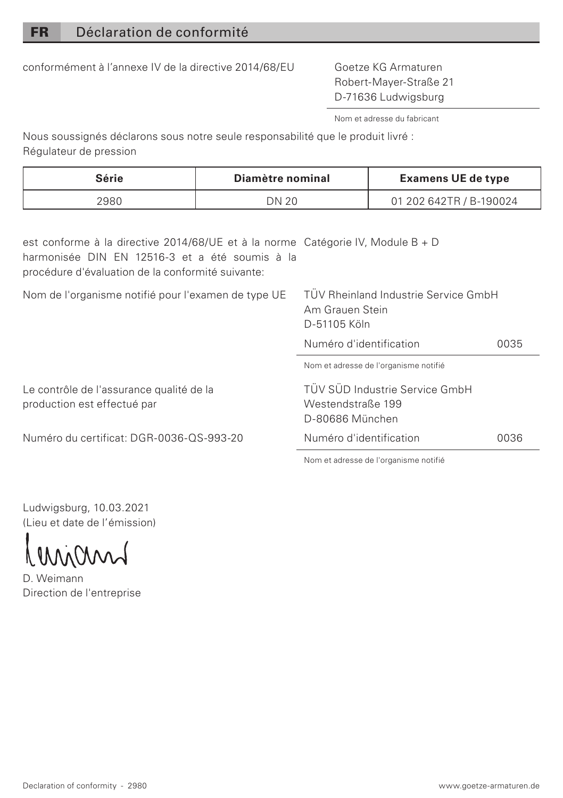conformément à l'annexe IV de la directive 2014/68/EU Goetze KG Armaturen

Robert-Mayer-Straße 21 D-71636 Ludwigsburg

Nom et adresse du fabricant

Nous soussignés déclarons sous notre seule responsabilité que le produit livré : Régulateur de pression

| Série | Diamètre nominal | <b>Examens UE de type</b> |
|-------|------------------|---------------------------|
| 2980  | DN 20            | 01 202 642TR / B-190024   |

est conforme à la directive 2014/68/UE et à la norme Catégorie IV, Module B + D harmonisée DIN EN 12516-3 et a été soumis à la procédure d'évaluation de la conformité suivante:

Nom de l'organisme notifié pour l'examen de type UE TÜV Rheinland Industrie Service GmbH

Am Grauen Stein D-51105 Köln

Numéro d'identification 0035

Nom et adresse de l'organisme notifié

TÜV SÜD Industrie Service GmbH Westendstraße 199 D-80686 München

Numéro d'identification 0036

Nom et adresse de l'organisme notifié

Ludwigsburg, 10.03.2021 (Lieu et date de l'émission)

Le contrôle de l'assurance qualité de la production est effectué par

Numéro du certificat: DGR-0036-QS-993-20

LMM

D. Weimann Direction de l'entreprise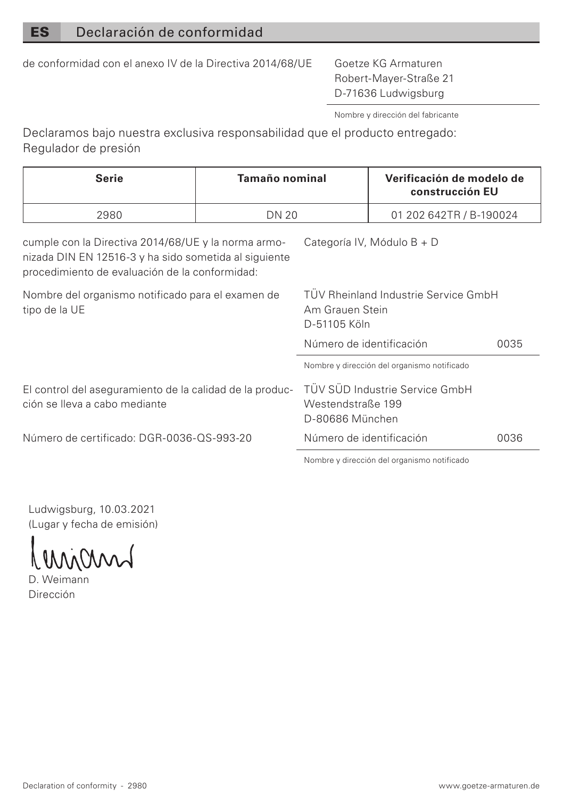## ES Declaración de conformidad

de conformidad con el anexo IV de la Directiva 2014/68/UE Goetze KG Armaturen

Robert-Mayer-Straße 21 D-71636 Ludwigsburg

Nombre y dirección del fabricante

Declaramos bajo nuestra exclusiva responsabilidad que el producto entregado: Regulador de presión

| Serie                                                                                                                                                                                        | Tamaño nominal |                                                                         | Verificación de modelo de<br>construcción EU |      |
|----------------------------------------------------------------------------------------------------------------------------------------------------------------------------------------------|----------------|-------------------------------------------------------------------------|----------------------------------------------|------|
| 2980                                                                                                                                                                                         | <b>DN 20</b>   |                                                                         | 01 202 642TR / B-190024                      |      |
| cumple con la Directiva 2014/68/UE y la norma armo-<br>Categoría IV. Módulo B + D<br>nizada DIN EN 12516-3 y ha sido sometida al siguiente<br>procedimiento de evaluación de la conformidad: |                |                                                                         |                                              |      |
| Nombre del organismo notificado para el examen de<br>tipo de la UE                                                                                                                           |                | TÜV Rheinland Industrie Service GmbH<br>Am Grauen Stein<br>D-51105 Köln |                                              |      |
|                                                                                                                                                                                              |                | Número de identificación                                                |                                              | 0035 |
|                                                                                                                                                                                              |                |                                                                         | Nombre y dirección del organismo notificado  |      |
| El control del aseguramiento de la calidad de la produc-<br>ción se lleva a cabo mediante                                                                                                    |                | TÜV SÜD Industrie Service GmbH<br>Westendstraße 199<br>D-80686 München  |                                              |      |
| Número de certificado: DGR-0036-OS-993-20                                                                                                                                                    |                | Número de identificación<br>0036                                        |                                              |      |
|                                                                                                                                                                                              |                | Nombre y dirección del organismo potificado.                            |                                              |      |

Ludwigsburg, 10.03.2021 (Lugar y fecha de emisión)

D. Weimann

Dirección